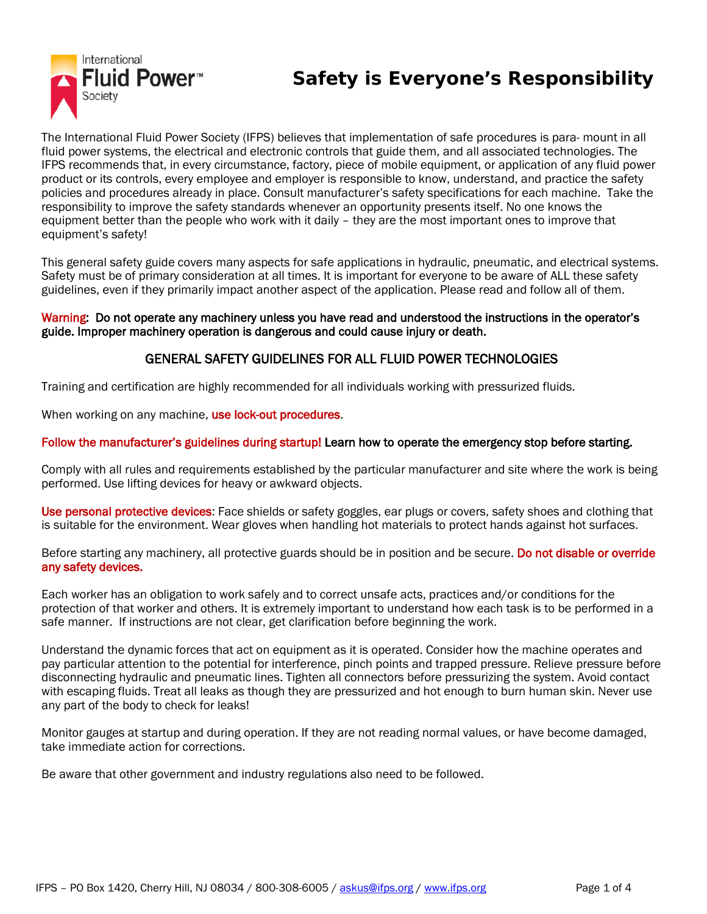

# **Safety is Everyone's Responsibility**

The International Fluid Power Society (IFPS) believes that implementation of safe procedures is para- mount in all fluid power systems, the electrical and electronic controls that guide them, and all associated technologies. The IFPS recommends that, in every circumstance, factory, piece of mobile equipment, or application of any fluid power product or its controls, every employee and employer is responsible to know, understand, and practice the safety policies and procedures already in place. Consult manufacturer's safety specifications for each machine. Take the responsibility to improve the safety standards whenever an opportunity presents itself. No one knows the equipment better than the people who work with it daily – they are the most important ones to improve that equipment's safety!

This general safety guide covers many aspects for safe applications in hydraulic, pneumatic, and electrical systems. Safety must be of primary consideration at all times. It is important for everyone to be aware of ALL these safety guidelines, even if they primarily impact another aspect of the application. Please read and follow all of them.

#### Warning: Do not operate any machinery unless you have read and understood the instructions in the operator's guide. Improper machinery operation is dangerous and could cause injury or death.

### GENERAL SAFETY GUIDELINES FOR ALL FLUID POWER TECHNOLOGIES

Training and certification are highly recommended for all individuals working with pressurized fluids.

When working on any machine, use lock-out procedures.

#### Follow the manufacturer's guidelines during startup! Learn how to operate the emergency stop before starting.

Comply with all rules and requirements established by the particular manufacturer and site where the work is being performed. Use lifting devices for heavy or awkward objects.

Use personal protective devices: Face shields or safety goggles, ear plugs or covers, safety shoes and clothing that is suitable for the environment. Wear gloves when handling hot materials to protect hands against hot surfaces.

Before starting any machinery, all protective guards should be in position and be secure. Do not disable or override any safety devices.

Each worker has an obligation to work safely and to correct unsafe acts, practices and/or conditions for the protection of that worker and others. It is extremely important to understand how each task is to be performed in a safe manner. If instructions are not clear, get clarification before beginning the work.

Understand the dynamic forces that act on equipment as it is operated. Consider how the machine operates and pay particular attention to the potential for interference, pinch points and trapped pressure. Relieve pressure before disconnecting hydraulic and pneumatic lines. Tighten all connectors before pressurizing the system. Avoid contact with escaping fluids. Treat all leaks as though they are pressurized and hot enough to burn human skin. Never use any part of the body to check for leaks!

Monitor gauges at startup and during operation. If they are not reading normal values, or have become damaged, take immediate action for corrections.

Be aware that other government and industry regulations also need to be followed.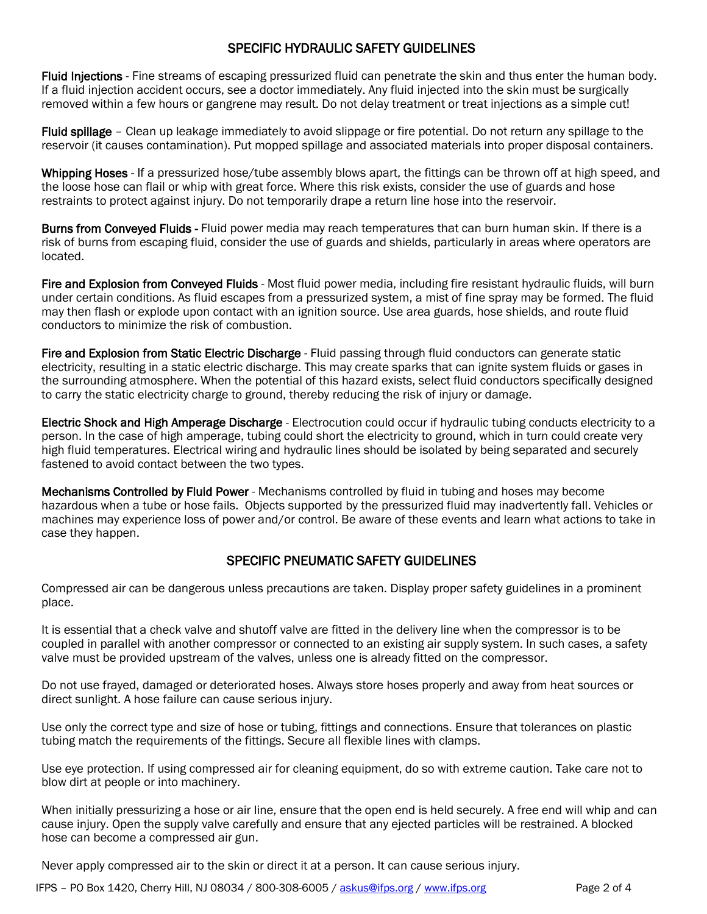### SPECIFIC HYDRAULIC SAFETY GUIDELINES

Fluid Injections - Fine streams of escaping pressurized fluid can penetrate the skin and thus enter the human body. If a fluid injection accident occurs, see a doctor immediately. Any fluid injected into the skin must be surgically removed within a few hours or gangrene may result. Do not delay treatment or treat injections as a simple cut!

Fluid spillage - Clean up leakage immediately to avoid slippage or fire potential. Do not return any spillage to the reservoir (it causes contamination). Put mopped spillage and associated materials into proper disposal containers.

Whipping Hoses - If a pressurized hose/tube assembly blows apart, the fittings can be thrown off at high speed, and the loose hose can flail or whip with great force. Where this risk exists, consider the use of guards and hose restraints to protect against injury. Do not temporarily drape a return line hose into the reservoir.

Burns from Conveyed Fluids - Fluid power media may reach temperatures that can burn human skin. If there is a risk of burns from escaping fluid, consider the use of guards and shields, particularly in areas where operators are located.

Fire and Explosion from Conveyed Fluids - Most fluid power media, including fire resistant hydraulic fluids, will burn under certain conditions. As fluid escapes from a pressurized system, a mist of fine spray may be formed. The fluid may then flash or explode upon contact with an ignition source. Use area guards, hose shields, and route fluid conductors to minimize the risk of combustion.

Fire and Explosion from Static Electric Discharge - Fluid passing through fluid conductors can generate static electricity, resulting in a static electric discharge. This may create sparks that can ignite system fluids or gases in the surrounding atmosphere. When the potential of this hazard exists, select fluid conductors specifically designed to carry the static electricity charge to ground, thereby reducing the risk of injury or damage.

Electric Shock and High Amperage Discharge - Electrocution could occur if hydraulic tubing conducts electricity to a person. In the case of high amperage, tubing could short the electricity to ground, which in turn could create very high fluid temperatures. Electrical wiring and hydraulic lines should be isolated by being separated and securely fastened to avoid contact between the two types.

Mechanisms Controlled by Fluid Power - Mechanisms controlled by fluid in tubing and hoses may become hazardous when a tube or hose fails. Objects supported by the pressurized fluid may inadvertently fall. Vehicles or machines may experience loss of power and/or control. Be aware of these events and learn what actions to take in case they happen.

## SPECIFIC PNEUMATIC SAFETY GUIDELINES

Compressed air can be dangerous unless precautions are taken. Display proper safety guidelines in a prominent place.

It is essential that a check valve and shutoff valve are fitted in the delivery line when the compressor is to be coupled in parallel with another compressor or connected to an existing air supply system. In such cases, a safety valve must be provided upstream of the valves, unless one is already fitted on the compressor.

Do not use frayed, damaged or deteriorated hoses. Always store hoses properly and away from heat sources or direct sunlight. A hose failure can cause serious injury.

Use only the correct type and size of hose or tubing, fittings and connections. Ensure that tolerances on plastic tubing match the requirements of the fittings. Secure all flexible lines with clamps.

Use eye protection. If using compressed air for cleaning equipment, do so with extreme caution. Take care not to blow dirt at people or into machinery.

When initially pressurizing a hose or air line, ensure that the open end is held securely. A free end will whip and can cause injury. Open the supply valve carefully and ensure that any ejected particles will be restrained. A blocked hose can become a compressed air gun.

Never apply compressed air to the skin or direct it at a person. It can cause serious injury.

IFPS – PO Box 1420, Cherry Hill, NJ 08034 / 800-308-6005 / [askus@ifps.org](mailto:askus@ifps.org) [/ www.ifps.org](http://www.ifps.org/) Page 2 of 4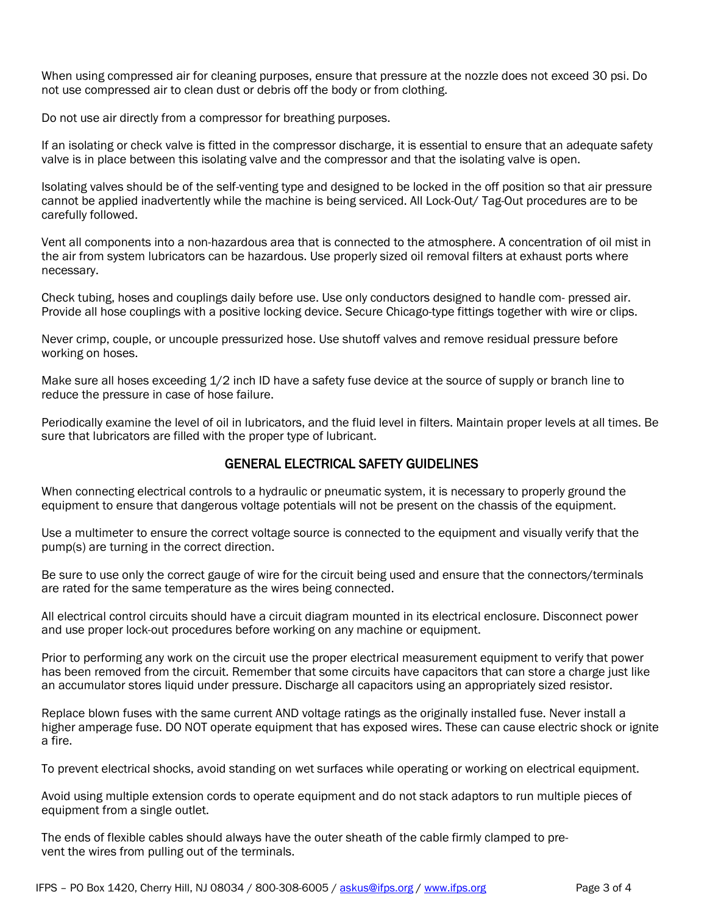When using compressed air for cleaning purposes, ensure that pressure at the nozzle does not exceed 30 psi. Do not use compressed air to clean dust or debris off the body or from clothing.

Do not use air directly from a compressor for breathing purposes.

If an isolating or check valve is fitted in the compressor discharge, it is essential to ensure that an adequate safety valve is in place between this isolating valve and the compressor and that the isolating valve is open.

Isolating valves should be of the self-venting type and designed to be locked in the off position so that air pressure cannot be applied inadvertently while the machine is being serviced. All Lock-Out/ Tag-Out procedures are to be carefully followed.

Vent all components into a non-hazardous area that is connected to the atmosphere. A concentration of oil mist in the air from system lubricators can be hazardous. Use properly sized oil removal filters at exhaust ports where necessary.

Check tubing, hoses and couplings daily before use. Use only conductors designed to handle com- pressed air. Provide all hose couplings with a positive locking device. Secure Chicago-type fittings together with wire or clips.

Never crimp, couple, or uncouple pressurized hose. Use shutoff valves and remove residual pressure before working on hoses.

Make sure all hoses exceeding 1/2 inch ID have a safety fuse device at the source of supply or branch line to reduce the pressure in case of hose failure.

Periodically examine the level of oil in lubricators, and the fluid level in filters. Maintain proper levels at all times. Be sure that lubricators are filled with the proper type of lubricant.

## GENERAL ELECTRICAL SAFETY GUIDELINES

When connecting electrical controls to a hydraulic or pneumatic system, it is necessary to properly ground the equipment to ensure that dangerous voltage potentials will not be present on the chassis of the equipment.

Use a multimeter to ensure the correct voltage source is connected to the equipment and visually verify that the pump(s) are turning in the correct direction.

Be sure to use only the correct gauge of wire for the circuit being used and ensure that the connectors/terminals are rated for the same temperature as the wires being connected.

All electrical control circuits should have a circuit diagram mounted in its electrical enclosure. Disconnect power and use proper lock-out procedures before working on any machine or equipment.

Prior to performing any work on the circuit use the proper electrical measurement equipment to verify that power has been removed from the circuit. Remember that some circuits have capacitors that can store a charge just like an accumulator stores liquid under pressure. Discharge all capacitors using an appropriately sized resistor.

Replace blown fuses with the same current AND voltage ratings as the originally installed fuse. Never install a higher amperage fuse. DO NOT operate equipment that has exposed wires. These can cause electric shock or ignite a fire.

To prevent electrical shocks, avoid standing on wet surfaces while operating or working on electrical equipment.

Avoid using multiple extension cords to operate equipment and do not stack adaptors to run multiple pieces of equipment from a single outlet.

The ends of flexible cables should always have the outer sheath of the cable firmly clamped to prevent the wires from pulling out of the terminals.

IFPS - PO Box 1420, Cherry Hill, NJ 08034 / 800-308-6005 / [askus@ifps.org](mailto:askus@ifps.org) [/ www.ifps.org](http://www.ifps.org/) Page 3 of 4